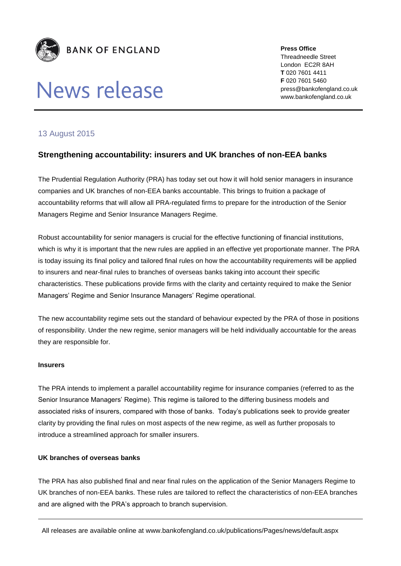

# News release

**Press Office** Threadneedle Street London EC2R 8AH **T** 020 7601 4411 **F** 020 7601 5460 press@bankofengland.co.uk www.bankofengland.co.uk

## 13 August 2015

## **Strengthening accountability: insurers and UK branches of non-EEA banks**

The Prudential Regulation Authority (PRA) has today set out how it will hold senior managers in insurance companies and UK branches of non-EEA banks accountable. This brings to fruition a package of accountability reforms that will allow all PRA-regulated firms to prepare for the introduction of the Senior Managers Regime and Senior Insurance Managers Regime.

Robust accountability for senior managers is crucial for the effective functioning of financial institutions, which is why it is important that the new rules are applied in an effective yet proportionate manner. The PRA is today issuing its final policy and tailored final rules on how the accountability requirements will be applied to insurers and near-final rules to branches of overseas banks taking into account their specific characteristics. These publications provide firms with the clarity and certainty required to make the Senior Managers' Regime and Senior Insurance Managers' Regime operational.

The new accountability regime sets out the standard of behaviour expected by the PRA of those in positions of responsibility. Under the new regime, senior managers will be held individually accountable for the areas they are responsible for.

### **Insurers**

The PRA intends to implement a parallel accountability regime for insurance companies (referred to as the Senior Insurance Managers' Regime). This regime is tailored to the differing business models and associated risks of insurers, compared with those of banks. Today's publications seek to provide greater clarity by providing the final rules on most aspects of the new regime, as well as further proposals to introduce a streamlined approach for smaller insurers.

### **UK branches of overseas banks**

The PRA has also published final and near final rules on the application of the Senior Managers Regime to UK branches of non-EEA banks. These rules are tailored to reflect the characteristics of non-EEA branches and are aligned with the PRA's approach to branch supervision.